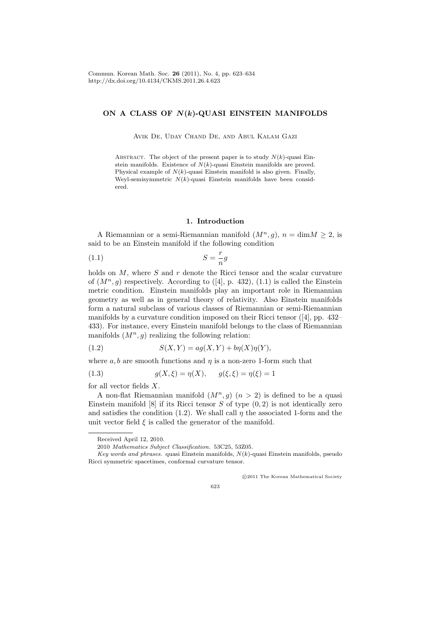# **ON A CLASS OF** *N***(***k***)-QUASI EINSTEIN MANIFOLDS**

Avik De, Uday Chand De, and Abul Kalam Gazi

ABSTRACT. The object of the present paper is to study  $N(k)$ -quasi Einstein manifolds. Existence of *N*(*k*)-quasi Einstein manifolds are proved. Physical example of  $N(k)$ -quasi Einstein manifold is also given. Finally, Weyl-semisymmetric *N*(*k*)-quasi Einstein manifolds have been considered.

## **1. Introduction**

A Riemannian or a semi-Riemannian manifold  $(M^n, q)$ ,  $n = \dim M > 2$ , is said to be an Einstein manifold if the following condition

$$
(1.1)\t\t\t S = \frac{r}{n}g
$$

holds on *M*, where *S* and *r* denote the Ricci tensor and the scalar curvature of  $(M^n, g)$  respectively. According to  $([4], p. 432)$ ,  $(1.1)$  is called the Einstein metric condition. Einstein manifolds play an important role in Riemannian geometry as well as in general theory of relativity. Also Einstein manifolds form a natural subclass of various classes of Riemannian or semi-Riemannian manifolds by a curvature condition imposed on their Ricci tensor ([4], pp. 432– 433). For instance, every Einstein manifold belongs to the class of Riemannian manifolds  $(M^n, g)$  realizing the following relation:

$$
(1.2) \qquad S(X,Y) = ag(X,Y) + b\eta(X)\eta(Y),
$$

where  $a, b$  are smooth functions and  $\eta$  is a non-zero 1-form such that

(1.3) 
$$
g(X,\xi) = \eta(X), \quad g(\xi,\xi) = \eta(\xi) = 1
$$

for all vector fields *X*.

A non-flat Riemannian manifold  $(M^n, g)$   $(n > 2)$  is defined to be a quasi Einstein manifold [8] if its Ricci tensor *S* of type (0*,* 2) is not identically zero and satisfies the condition (1.2). We shall call  $\eta$  the associated 1-form and the unit vector field  $\xi$  is called the generator of the manifold.

Received April 12, 2010.

*⃝*c 2011 The Korean Mathematical Society

623

<sup>2010</sup> *Mathematics Subject Classification.* 53C25, 53Z05.

*Key words and phrases.* quasi Einstein manifolds, *N*(*k*)-quasi Einstein manifolds, pseudo Ricci symmetric spacetimes, conformal curvature tensor.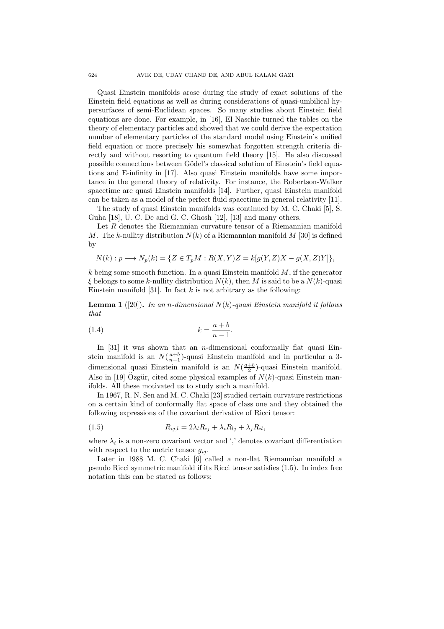Quasi Einstein manifolds arose during the study of exact solutions of the Einstein field equations as well as during considerations of quasi-umbilical hypersurfaces of semi-Euclidean spaces. So many studies about Einstein field equations are done. For example, in [16], El Naschie turned the tables on the theory of elementary particles and showed that we could derive the expectation number of elementary particles of the standard model using Einstein's unified field equation or more precisely his somewhat forgotten strength criteria directly and without resorting to quantum field theory [15]. He also discussed possible connections between Gödel's classical solution of Einstein's field equations and E-infinity in [17]. Also quasi Einstein manifolds have some importance in the general theory of relativity. For instance, the Robertson-Walker spacetime are quasi Einstein manifolds [14]. Further, quasi Einstein manifold can be taken as a model of the perfect fluid spacetime in general relativity [11].

The study of quasi Einstein manifolds was continued by M. C. Chaki [5], S. Guha [18], U. C. De and G. C. Ghosh [12], [13] and many others.

Let *R* denotes the Riemannian curvature tensor of a Riemannian manifold *M*. The *k*-nullity distribution  $N(k)$  of a Riemannian manifold *M* [30] is defined by

$$
N(k): p \longrightarrow N_p(k) = \{ Z \in T_pM : R(X,Y)Z = k[g(Y,Z)X - g(X,Z)Y] \},
$$

*k* being some smooth function. In a quasi Einstein manifold *M*, if the generator *ξ* belongs to some *k*-nullity distribution *N*(*k*), then *M* is said to be a *N*(*k*)-quasi Einstein manifold [31]. In fact  $k$  is not arbitrary as the following:

**Lemma 1** ([20])**.** *In an n-dimensional N*(*k*)*-quasi Einstein manifold it follows that*

$$
(1.4) \t\t k = \frac{a+b}{n-1}.
$$

In [31] it was shown that an *n*-dimensional conformally flat quasi Einstein manifold is an  $N(\frac{a+b}{n-1})$ -quasi Einstein manifold and in particular a 3dimensional quasi Einstein manifold is an  $N(\frac{a+b}{2})$ -quasi Einstein manifold. Also in [19]  $\hat{O}$ zgür, cited some physical examples of  $N(k)$ -quasi Einstein manifolds. All these motivated us to study such a manifold.

In 1967, R. N. Sen and M. C. Chaki [23] studied certain curvature restrictions on a certain kind of conformally flat space of class one and they obtained the following expressions of the covariant derivative of Ricci tensor:

(1.5) 
$$
R_{ij,l} = 2\lambda_l R_{ij} + \lambda_i R_{lj} + \lambda_j R_{il},
$$

where  $\lambda_i$  is a non-zero covariant vector and ',' denotes covariant differentiation with respect to the metric tensor  $g_{ij}$ .

Later in 1988 M. C. Chaki [6] called a non-flat Riemannian manifold a pseudo Ricci symmetric manifold if its Ricci tensor satisfies (1.5). In index free notation this can be stated as follows: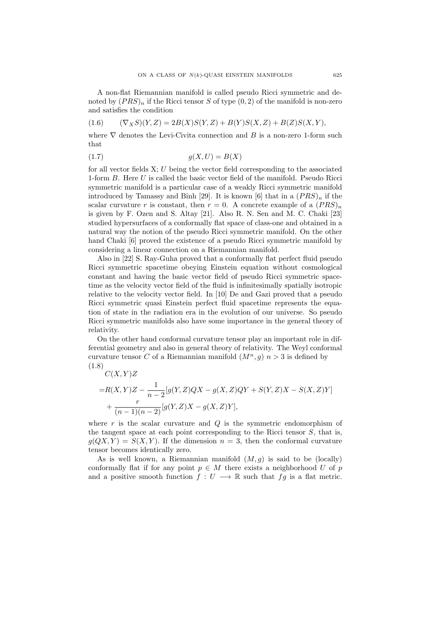A non-flat Riemannian manifold is called pseudo Ricci symmetric and denoted by  $(PRS)_n$  if the Ricci tensor *S* of type  $(0, 2)$  of the manifold is non-zero and satisfies the condition

$$
(1.6) \qquad (\nabla_X S)(Y,Z) = 2B(X)S(Y,Z) + B(Y)S(X,Z) + B(Z)S(X,Y),
$$

where *∇* denotes the Levi-Civita connection and *B* is a non-zero 1-form such that

$$
(1.7) \t\t g(X, U) = B(X)
$$

for all vector fields X; *U* being the vector field corresponding to the associated 1-form *B*. Here *U* is called the basic vector field of the manifold. Pseudo Ricci symmetric manifold is a particular case of a weakly Ricci symmetric manifold introduced by Tamassy and Binh [29]. It is known [6] that in a  $(PRS)<sub>n</sub>$  if the scalar curvature *r* is constant, then  $r = 0$ . A concrete example of a  $(PRS)<sub>n</sub>$ is given by F. Ozen and S. Altay [21]. Also R. N. Sen and M. C. Chaki [23] studied hypersurfaces of a conformally flat space of class-one and obtained in a natural way the notion of the pseudo Ricci symmetric manifold. On the other hand Chaki [6] proved the existence of a pseudo Ricci symmetric manifold by considering a linear connection on a Riemannian manifold.

Also in [22] S. Ray-Guha proved that a conformally flat perfect fluid pseudo Ricci symmetric spacetime obeying Einstein equation without cosmological constant and having the basic vector field of pseudo Ricci symmetric spacetime as the velocity vector field of the fluid is infinitesimally spatially isotropic relative to the velocity vector field. In [10] De and Gazi proved that a pseudo Ricci symmetric quasi Einstein perfect fluid spacetime represents the equation of state in the radiation era in the evolution of our universe. So pseudo Ricci symmetric manifolds also have some importance in the general theory of relativity.

On the other hand conformal curvature tensor play an important role in differential geometry and also in general theory of relativity. The Weyl conformal curvature tensor *C* of a Riemannian manifold  $(M^n, g)$   $n > 3$  is defined by (1.8)

$$
C(X,Y)Z
$$
  
=R(X,Y)Z -  $\frac{1}{n-2}[g(Y,Z)QX - g(X,Z)QY + S(Y,Z)X - S(X,Z)Y]$   
+  $\frac{r}{(n-1)(n-2)}[g(Y,Z)X - g(X,Z)Y],$ 

where *r* is the scalar curvature and *Q* is the symmetric endomorphism of the tangent space at each point corresponding to the Ricci tensor *S*, that is,  $g(QX, Y) = S(X, Y)$ . If the dimension  $n = 3$ , then the conformal curvature tensor becomes identically zero.

As is well known, a Riemannian manifold (*M, g*) is said to be (locally) conformally flat if for any point  $p \in M$  there exists a neighborhood U of p and a positive smooth function  $f: U \longrightarrow \mathbb{R}$  such that  $fg$  is a flat metric.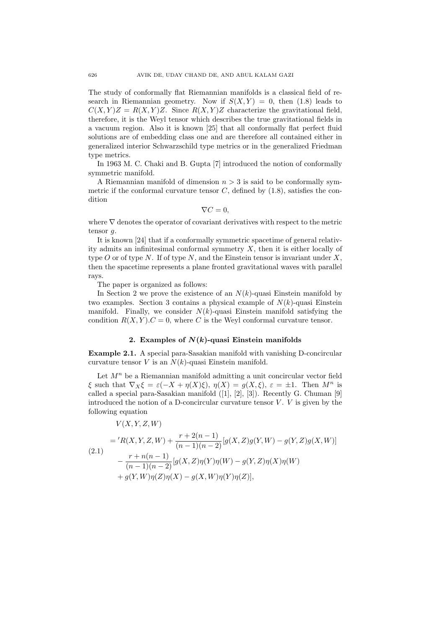The study of conformally flat Riemannian manifolds is a classical field of research in Riemannian geometry. Now if  $S(X, Y) = 0$ , then (1.8) leads to  $C(X, Y)Z = R(X, Y)Z$ . Since  $R(X, Y)Z$  characterize the gravitational field, therefore, it is the Weyl tensor which describes the true gravitational fields in a vacuum region. Also it is known [25] that all conformally flat perfect fluid solutions are of embedding class one and are therefore all contained either in generalized interior Schwarzschild type metrics or in the generalized Friedman type metrics.

In 1963 M. C. Chaki and B. Gupta [7] introduced the notion of conformally symmetric manifold.

A Riemannian manifold of dimension *n >* 3 is said to be conformally symmetric if the conformal curvature tensor  $C$ , defined by  $(1.8)$ , satisfies the condition

$$
\nabla C=0,
$$

where *∇* denotes the operator of covariant derivatives with respect to the metric tensor *g*.

It is known [24] that if a conformally symmetric spacetime of general relativity admits an infinitesimal conformal symmetry *X*, then it is either locally of type *O* or of type *N*. If of type *N*, and the Einstein tensor is invariant under *X*, then the spacetime represents a plane fronted gravitational waves with parallel rays.

The paper is organized as follows:

In Section 2 we prove the existence of an  $N(k)$ -quasi Einstein manifold by two examples. Section 3 contains a physical example of  $N(k)$ -quasi Einstein manifold. Finally, we consider  $N(k)$ -quasi Einstein manifold satisfying the condition  $R(X, Y)$ .  $C = 0$ , where *C* is the Weyl conformal curvature tensor.

## **2. Examples of** *N***(***k***)-quasi Einstein manifolds**

**Example 2.1.** A special para-Sasakian manifold with vanishing D-concircular curvature tensor *V* is an *N*(*k*)-quasi Einstein manifold.

Let  $M^n$  be a Riemannian manifold admitting a unit concircular vector field *ξ* such that  $\nabla_X \xi = \varepsilon(-X + \eta(X)\xi)$ ,  $\eta(X) = g(X,\xi)$ ,  $\varepsilon = \pm 1$ . Then  $M^n$  is called a special para-Sasakian manifold ([1], [2], [3]). Recently G. Chuman [9] introduced the notion of a D-concircular curvature tensor  $V$ .  $V$  is given by the following equation

 $V(X, Y, Z, W)$ 

$$
= {}^{'}R(X,Y,Z,W) + \frac{r+2(n-1)}{(n-1)(n-2)}[g(X,Z)g(Y,W) - g(Y,Z)g(X,W)]
$$
  
(2.1)
$$
- \frac{r+n(n-1)}{(n-1)(n-2)}[g(X,Z)\eta(Y)\eta(W) - g(Y,Z)\eta(X)\eta(W)
$$

$$
+ g(Y,W)\eta(Z)\eta(X) - g(X,W)\eta(Y)\eta(Z)],
$$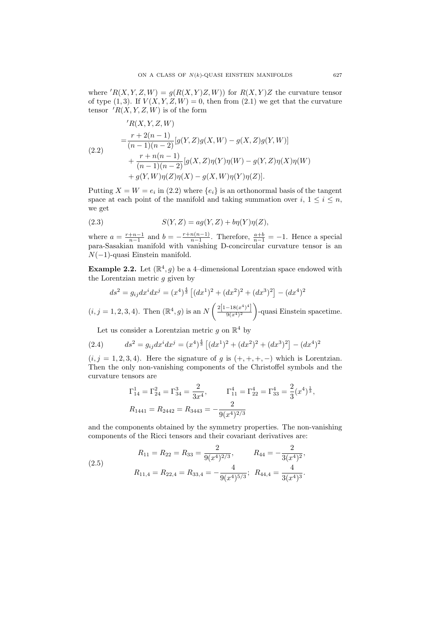where  $'R(X, Y, Z, W) = g(R(X, Y)Z, W)$  for  $R(X, Y)Z$  the curvature tensor of type  $(1,3)$ . If  $V(X, Y, Z, W) = 0$ , then from  $(2.1)$  we get that the curvature tensor  $\overline{R}(X, Y, Z, W)$  is of the form

(2.2)  
\n
$$
{}^{'}R(X, Y, Z, W)
$$
\n
$$
= \frac{r + 2(n - 1)}{(n - 1)(n - 2)} [g(Y, Z)g(X, W) - g(X, Z)g(Y, W)]
$$
\n
$$
+ \frac{r + n(n - 1)}{(n - 1)(n - 2)} [g(X, Z)\eta(Y)\eta(W) - g(Y, Z)\eta(X)\eta(W)
$$
\n
$$
+ g(Y, W)\eta(Z)\eta(X) - g(X, W)\eta(Y)\eta(Z)].
$$

Putting  $X = W = e_i$  in (2.2) where  $\{e_i\}$  is an orthonormal basis of the tangent space at each point of the manifold and taking summation over  $i, 1 \leq i \leq n$ , we get

(2.3) 
$$
S(Y,Z) = ag(Y,Z) + b\eta(Y)\eta(Z),
$$

where  $a = \frac{r+n-1}{n-1}$  and  $b = -\frac{r+n(n-1)}{n-1}$ where  $a = \frac{r+n-1}{n-1}$  and  $b = -\frac{r+n(n-1)}{n-1}$ . Therefore,  $\frac{a+b}{n-1} = -1$ . Hence a special para-Sasakian manifold with vanishing D-concircular curvature tensor is an *N*(*−*1)-quasi Einstein manifold.

**Example 2.2.** Let  $(\mathbb{R}^4, g)$  be a 4-dimensional Lorentzian space endowed with the Lorentzian metric *g* given by

$$
ds^{2} = g_{ij}dx^{i}dx^{j} = (x^{4})^{\frac{4}{3}} [(dx^{1})^{2} + (dx^{2})^{2} + (dx^{3})^{2}] - (dx^{4})^{2}
$$

 $(i, j = 1, 2, 3, 4)$ . Then  $(\mathbb{R}^4, g)$  is an *N*  $\left( \frac{2[1-18(x^4)^4]}{2} \right)$  $9(x^4)^2$  $\setminus$ -quasi Einstein spacetime.

Let us consider a Lorentzian metric  $g$  on  $\mathbb{R}^4$  by

(2.4) 
$$
ds^{2} = g_{ij}dx^{i}dx^{j} = (x^{4})^{\frac{4}{3}}[(dx^{1})^{2} + (dx^{2})^{2} + (dx^{3})^{2}] - (dx^{4})^{2}
$$

 $(i, j = 1, 2, 3, 4)$ . Here the signature of *g* is  $(+, +, +, -)$  which is Lorentzian. Then the only non-vanishing components of the Christoffel symbols and the curvature tensors are

$$
\Gamma_{14}^1 = \Gamma_{24}^2 = \Gamma_{34}^3 = \frac{2}{3x^4}, \qquad \Gamma_{11}^4 = \Gamma_{22}^4 = \Gamma_{33}^4 = \frac{2}{3}(x^4)^{\frac{1}{3}},
$$
  

$$
R_{1441} = R_{2442} = R_{3443} = -\frac{2}{9(x^4)^{2/3}}
$$

and the components obtained by the symmetry properties. The non-vanishing components of the Ricci tensors and their covariant derivatives are:

(2.5)  

$$
R_{11} = R_{22} = R_{33} = \frac{2}{9(x^4)^{2/3}}, \qquad R_{44} = -\frac{2}{3(x^4)^2},
$$

$$
R_{11,4} = R_{22,4} = R_{33,4} = -\frac{4}{9(x^4)^{5/3}}; \quad R_{44,4} = \frac{4}{3(x^4)^3}.
$$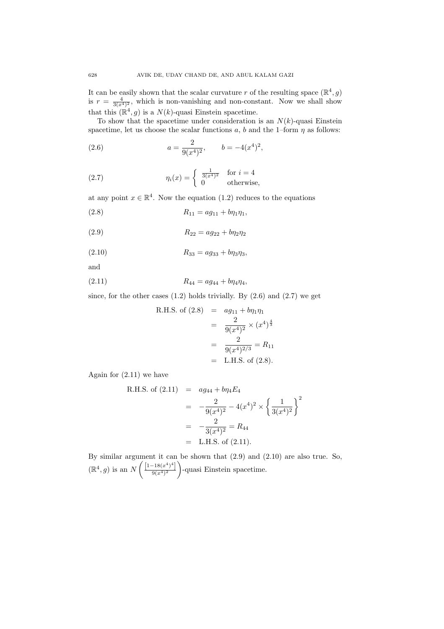It can be easily shown that the scalar curvature *r* of the resulting space  $(\mathbb{R}^4, g)$ is  $r = \frac{4}{3(x^4)^2}$ , which is non-vanishing and non-constant. Now we shall show that this  $(\mathbb{R}^4, g)$  is a  $N(k)$ -quasi Einstein spacetime.

To show that the spacetime under consideration is an  $N(k)$ -quasi Einstein spacetime, let us choose the scalar functions  $a, b$  and the 1–form  $\eta$  as follows:

(2.6) 
$$
a = \frac{2}{9(x^4)^2}, \qquad b = -4(x^4)^2,
$$

(2.7) 
$$
\eta_i(x) = \begin{cases} \frac{1}{3(x^4)^2} & \text{for } i = 4\\ 0 & \text{otherwise,} \end{cases}
$$

at any point  $x \in \mathbb{R}^4$ . Now the equation (1.2) reduces to the equations

(2.8) 
$$
R_{11} = a g_{11} + b \eta_1 \eta_1,
$$

(2.9) 
$$
R_{22} = a g_{22} + b \eta_2 \eta_2
$$

(2.10) 
$$
R_{33} = ag_{33} + bq_{3}\eta_{3},
$$

and

$$
(2.11) \t\t R_{44} = a g_{44} + b \eta_4 \eta_4,
$$

since, for the other cases  $(1.2)$  holds trivially. By  $(2.6)$  and  $(2.7)$  we get

R.H.S. of (2.8) = 
$$
ag_{11} + b\eta_1 \eta_1
$$
  
\n=  $\frac{2}{9(x^4)^2} \times (x^4)^{\frac{4}{3}}$   
\n=  $\frac{2}{9(x^4)^{2/3}}$  =  $R_{11}$   
\n= L.H.S. of (2.8).

Again for (2.11) we have

R.H.S. of (2.11) = 
$$
ag_{44} + b\eta_4 E_4
$$
  
\n=  $-\frac{2}{9(x^4)^2} - 4(x^4)^2 \times \left\{ \frac{1}{3(x^4)^2} \right\}^2$   
\n=  $-\frac{2}{3(x^4)^2} = R_{44}$   
\n= L.H.S. of (2.11).

By similar argument it can be shown that (2.9) and (2.10) are also true. So,  $(\mathbb{R}^4, g)$  is an *N*  $\left[1-18(x^4)^4\right]$  $9(x^4)^2$  $\setminus$ -quasi Einstein spacetime.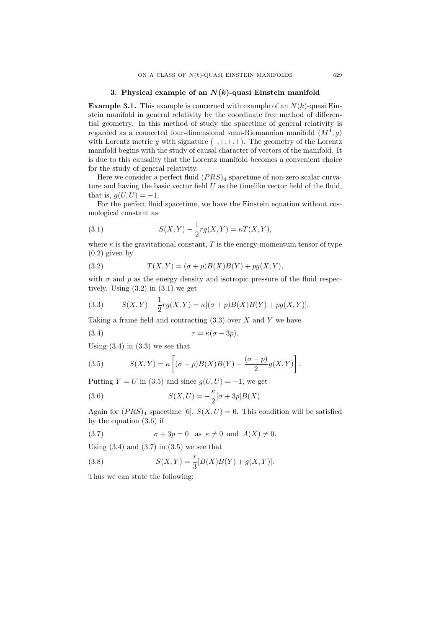### **3. Physical example of an** *N***(***k***)-quasi Einstein manifold**

**Example 3.1.** This example is concerned with example of an  $N(k)$ -quasi Einstein manifold in general relativity by the coordinate free method of differential geometry. In this method of study the spacetime of general relativity is regarded as a connected four-dimensional semi-Riemannian manifold  $(M^4, g)$ with Lorentz metric  $g$  with signature  $(-,+,+,+)$ . The geometry of the Lorentz manifold begins with the study of causal character of vectors of the manifold. It is due to this causality that the Lorentz manifold becomes a convenient choice for the study of general relativity.

Here we consider a perfect fluid  $(PRS)_4$  spacetime of non-zero scalar curvature and having the basic vector field *U* as the timelike vector field of the fluid, that is,  $q(U, U) = -1$ .

For the perfect fluid spacetime, we have the Einstein equation without cosmological constant as

(3.1) 
$$
S(X,Y) - \frac{1}{2}rg(X,Y) = \kappa T(X,Y),
$$

where  $\kappa$  is the gravitational constant,  $T$  is the energy-momentum tensor of type  $(0,2)$  given by

(3.2) 
$$
T(X,Y) = (\sigma + p)B(X)B(Y) + pg(X,Y),
$$

with  $\sigma$  and  $p$  as the energy density and isotropic pressure of the fluid respectively. Using  $(3.2)$  in  $(3.1)$  we get

(3.3) 
$$
S(X,Y) - \frac{1}{2}rg(X,Y) = \kappa[(\sigma + p)B(X)B(Y) + pg(X,Y)].
$$

Taking a frame field and contracting (3.3) over *X* and *Y* we have

$$
(3.4) \t\t\t r = \kappa(\sigma - 3p).
$$

Using  $(3.4)$  in  $(3.3)$  we see that

(3.5) 
$$
S(X,Y) = \kappa \left[ (\sigma + p)B(X)B(Y) + \frac{(\sigma - p)}{2}g(X,Y) \right].
$$

Putting  $Y = U$  in (3.5) and since  $q(U, U) = -1$ , we get

(3.6) 
$$
S(X,U) = -\frac{\kappa}{2} [\sigma + 3p] B(X).
$$

Again for  $(PRS)_4$  spacetime [6],  $S(X, U) = 0$ . This condition will be satisfied by the equation (3.6) if

(3.7) 
$$
\sigma + 3p = 0 \text{ as } \kappa \neq 0 \text{ and } A(X) \neq 0.
$$

Using  $(3.4)$  and  $(3.7)$  in  $(3.5)$  we see that

(3.8) 
$$
S(X,Y) = \frac{r}{3}[B(X)B(Y) + g(X,Y)].
$$

Thus we can state the following: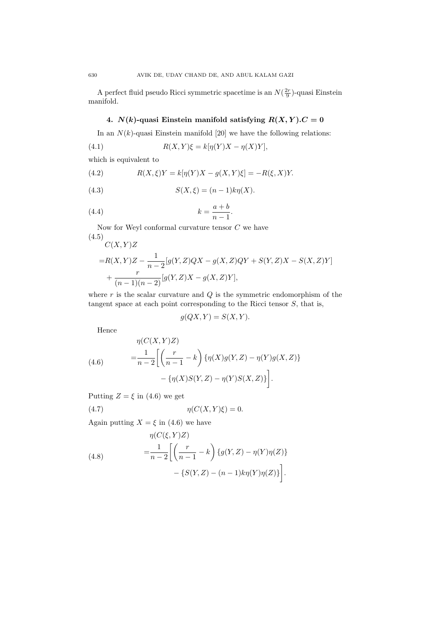A perfect fluid pseudo Ricci symmetric spacetime is an  $N(\frac{2r}{9})$ -quasi Einstein manifold.

# **4.**  $N(k)$ -quasi Einstein manifold satisfying  $R(X, Y)$ .  $C = 0$

In an  $N(k)$ -quasi Einstein manifold [20] we have the following relations:

(4.1) 
$$
R(X,Y)\xi = k[\eta(Y)X - \eta(X)Y],
$$

which is equivalent to

(4.2) 
$$
R(X,\xi)Y = k[\eta(Y)X - g(X,Y)\xi] = -R(\xi,X)Y.
$$

(4.3) 
$$
S(X,\xi) = (n-1)k\eta(X).
$$

$$
(4.4) \t\t k = \frac{a+b}{n-1}.
$$

Now for Weyl conformal curvature tensor  ${\cal C}$  we have (4.5) *C*(*X, Y* )*Z*

$$
=R(X,Y)Z-\frac{1}{n-2}[g(Y,Z)QX-g(X,Z)QY+S(Y,Z)X-S(X,Z)Y] + \frac{r}{(n-1)(n-2)}[g(Y,Z)X-g(X,Z)Y],
$$

where  $r$  is the scalar curvature and  $Q$  is the symmetric endomorphism of the tangent space at each point corresponding to the Ricci tensor *S*, that is,

$$
g(QX,Y) = S(X,Y).
$$

Hence

(4.6)  
\n
$$
\eta(C(X,Y)Z) = \frac{1}{n-2} \left[ \left( \frac{r}{n-1} - k \right) \{ \eta(X)g(Y,Z) - \eta(Y)g(X,Z) \} - \{ \eta(X)S(Y,Z) - \eta(Y)S(X,Z) \} \right].
$$

Putting  $Z = \xi$  in (4.6) we get

$$
(4.7) \t\t \eta(C(X,Y)\xi) = 0.
$$

Again putting  $X = \xi$  in (4.6) we have

(4.8)  
\n
$$
\eta(C(\xi, Y)Z) = \frac{1}{n-2} \left[ \left( \frac{r}{n-1} - k \right) \{ g(Y, Z) - \eta(Y) \eta(Z) \} - \{ S(Y, Z) - (n-1)k\eta(Y)\eta(Z) \} \right].
$$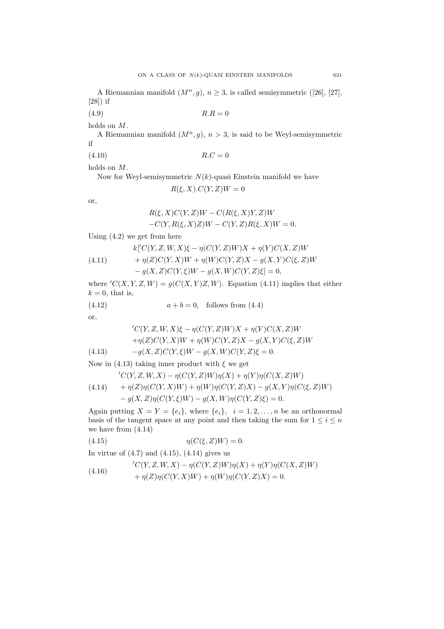A Riemannian manifold  $(M^n, g)$ ,  $n \geq 3$ , is called semisymmetric ([26], [27], [28]) if

 $(R.R = 0)$ 

holds on *M*.

A Riemannian manifold  $(M^n, g)$ ,  $n > 3$ , is said to be Weyl-semisymmetric if

 $R.C = 0$ 

holds on *M*.

Now for Weyl-semisymmetric *N*(*k*)-quasi Einstein manifold we have  $R(\xi, X)$ *.C*(*Y*, *Z*)*W* = 0

or,

$$
R(\xi, X)C(Y, Z)W - C(R(\xi, X)Y, Z)W
$$
  
-C(Y, R(\xi, X)Z)W - C(Y, Z)R(\xi, X)W = 0.

Using (4.2) we get from here

(4.11) 
$$
k[ C(Y, Z, W, X) \xi - \eta (C(Y, Z)W)X + \eta (Y)C(X, Z)W + \eta (Z)C(Y, X)W + \eta (W)C(Y, Z)X - g(X, Y)C(\xi, Z)W
$$

$$
- g(X,Z)C(Y,\xi)W - g(X,W)C(Y,Z)\xi] = 0,
$$

where  $'C(X, Y, Z, W) = g(C(X, Y)Z, W)$ . Equation (4.11) implies that either  $k = 0$ , that is,

(4.12)  $a + b = 0$ , follows from (4.4)

or,

(4.13)  
\n
$$
{}^{'}C(Y, Z, W, X)\xi - \eta(C(Y, Z)W)X + \eta(Y)C(X, Z)W
$$
\n
$$
+ \eta(Z)C(Y, X)W + \eta(W)C(Y, Z)X - g(X, Y)C(\xi, Z)W
$$
\n
$$
-g(X, Z)C(Y, \xi)W - g(X, W)C(Y, Z)\xi = 0.
$$

Now in (4.13) taking inner product with *ξ* we get

(4.14) 
$$
{}'C(Y, Z, W, X) - \eta(C(Y, Z)W)\eta(X) + \eta(Y)\eta(C(X, Z)W)
$$

$$
+ \eta(Z)\eta(C(Y, X)W) + \eta(W)\eta(C(Y, Z)X) - g(X, Y)\eta(C(\xi, Z)W)
$$

$$
- g(X, Z)\eta(C(Y, \xi)W) - g(X, W)\eta(C(Y, Z)\xi) = 0.
$$

Again putting  $X = Y = \{e_i\}$ , where  $\{e_i\}$ ,  $i = 1, 2, \ldots, n$  be an orthonormal basis of the tangent space at any point and then taking the sum for  $1 \leq i \leq n$ we have from (4.14)

$$
(4.15) \qquad \qquad \eta(C(\xi, Z)W) = 0.
$$

In virtue of  $(4.7)$  and  $(4.15)$ ,  $(4.14)$  gives us

(4.16) 
$$
\begin{aligned} {}'C(Y,Z,W,X) - \eta(C(Y,Z)W)\eta(X) + \eta(Y)\eta(C(X,Z)W) \\ + \eta(Z)\eta(C(Y,X)W) + \eta(W)\eta(C(Y,Z)X) = 0. \end{aligned}
$$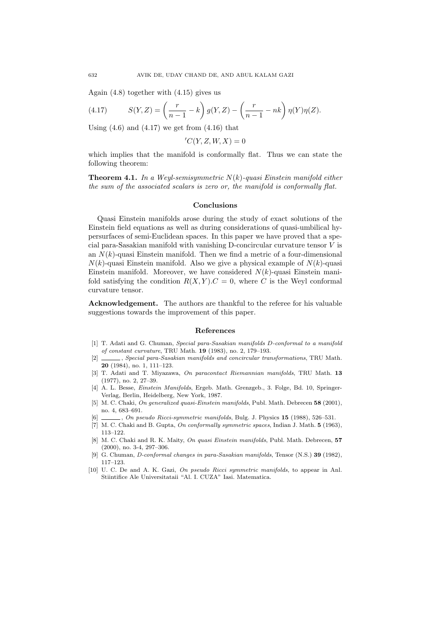Again (4.8) together with (4.15) gives us

(4.17) 
$$
S(Y, Z) = \left(\frac{r}{n-1} - k\right) g(Y, Z) - \left(\frac{r}{n-1} - nk\right) \eta(Y) \eta(Z).
$$

Using  $(4.6)$  and  $(4.17)$  we get from  $(4.16)$  that

 $'C(Y, Z, W, X) = 0$ 

which implies that the manifold is conformally flat. Thus we can state the following theorem:

**Theorem 4.1.** *In a Weyl-semisymmetric N*(*k*)*-quasi Einstein manifold either the sum of the associated scalars is zero or, the manifold is conformally flat.*

#### **Conclusions**

Quasi Einstein manifolds arose during the study of exact solutions of the Einstein field equations as well as during considerations of quasi-umbilical hypersurfaces of semi-Euclidean spaces. In this paper we have proved that a special para-Sasakian manifold with vanishing D-concircular curvature tensor *V* is an  $N(k)$ -quasi Einstein manifold. Then we find a metric of a four-dimensional  $N(k)$ -quasi Einstein manifold. Also we give a physical example of  $N(k)$ -quasi Einstein manifold. Moreover, we have considered *N*(*k*)-quasi Einstein manifold satisfying the condition  $R(X, Y)$ .  $C = 0$ , where *C* is the Weyl conformal curvature tensor.

**Acknowledgement.** The authors are thankful to the referee for his valuable suggestions towards the improvement of this paper.

#### **References**

- [1] T. Adati and G. Chuman, *Special para-Sasakian manifolds D-conformal to a manifold of constant curvature*, TRU Math. **19** (1983), no. 2, 179–193.
- [2] , *Special para-Sasakian manifolds and concircular transformations*, TRU Math. **20** (1984), no. 1, 111–123.
- [3] T. Adati and T. Miyazawa, *On paracontact Riemannian manifolds*, TRU Math. **13** (1977), no. 2, 27–39.
- [4] A. L. Besse, *Einstein Manifolds*, Ergeb. Math. Grenzgeb., 3. Folge, Bd. 10, Springer-Verlag, Berlin, Heidelberg, New York, 1987.
- [5] M. C. Chaki, *On generalized quasi-Einstein manifolds*, Publ. Math. Debrecen **58** (2001), no. 4, 683–691.
- [6] , *On pseudo Ricci-symmetric manifolds*, Bulg. J. Physics **15** (1988), 526–531.
- [7] M. C. Chaki and B. Gupta, *On conformally symmetric spaces*, Indian J. Math. **5** (1963), 113–122.
- [8] M. C. Chaki and R. K. Maity, *On quasi Einstein manifolds*, Publ. Math. Debrecen, **57** (2000), no. 3-4, 297–306.
- [9] G. Chuman, *D-conformal changes in para-Sasakian manifolds*, Tensor (N.S.) **39** (1982), 117–123.
- [10] U. C. De and A. K. Gazi, *On pseudo Ricci symmetric manifolds*, to appear in Anl. Stiintifice Ale Universitataii "Al. I. CUZA" Iasi. Matematica.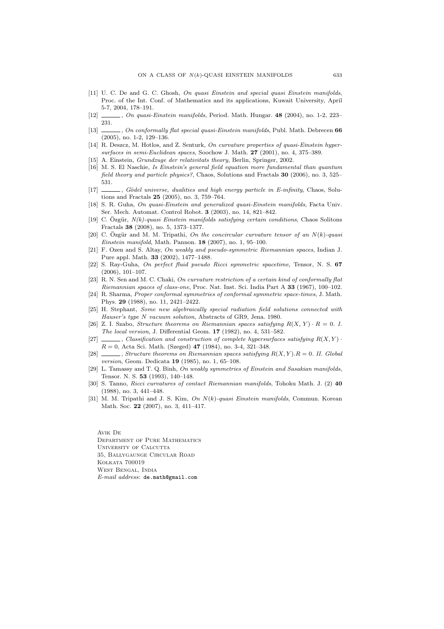- [11] U. C. De and G. C. Ghosh, *On quasi Einstein and special quasi Einstein manifolds*, Proc. of the Int. Conf. of Mathematics and its applications, Kuwait University, April 5-7, 2004, 178–191.
- [12] , *On quasi-Einstein manifolds*, Period. Math. Hungar. **48** (2004), no. 1-2, 223– 231.
- [13] , *On conformally flat special quasi-Einstein manifolds*, Publ. Math. Debrecen **66** (2005), no. 1-2, 129–136.
- [14] R. Deszcz, M. Hotlos, and Z. Senturk, *On curvature properties of quasi-Einstein hypersurfaces in semi-Euclidean spaces*, Soochow J. Math. **27** (2001), no. 4, 375–389.
- [15] A. Einstein, *Grundzuge der relativitats theory*, Berlin, Springer, 2002.
- [16] M. S. El Naschie, *Is Einstein's general field equation more fundamental than quantum field theory and particle physics?*, Chaos, Solutions and Fractals **30** (2006), no. 3, 525– 531.
- [17] , *Gödel universe, dualities and high energy particle in E-infinity*, Chaos, Solutions and Fractals **25** (2005), no. 3, 759–764.
- [18] S. R. Guha, *On quasi-Einstein and generalized quasi-Einstein manifolds*, Facta Univ. Ser. Mech. Automat. Control Robot. **3** (2003), no. 14, 821–842.
- [19] C.  $Ozgür, N(k)$ -quasi Einstein manifolds satisfying certain conditions, Chaos Solitons Fractals **38** (2008), no. 5, 1373–1377.
- [20] C. Ozgür and M. M. Tripathi, On the concircular curvature tensor of an  $N(k)$ -quasi *Einstein manifold*, Math. Pannon. **18** (2007), no. 1, 95–100.
- [21] F. Ozen and S. Altay, *On weakly and pseudo-symmetric Riemannian spaces*, Indian J. Pure appl. Math. **33** (2002), 1477–1488.
- [22] S. Ray-Guha, *On perfect fluid pseudo Ricci symmetric spacetime*, Tensor, N. S. **67** (2006), 101–107.
- [23] R. N. Sen and M. C. Chaki, *On curvature restriction of a certain kind of conformally flat Riemannian spaces of class-one*, Proc. Nat. Inst. Sci. India Part A **33** (1967), 100–102.
- [24] R. Sharma, *Proper conformal symmetries of conformal symmetric space-times*, J. Math. Phys. **29** (1988), no. 11, 2421–2422.
- [25] H. Stephant, *Some new algebraically special radiation field solutions connected with Hauser's type N vacuum solution*, Abstracts of GR9, Jena. 1980.
- [26] Z. I. Szabo, *Structure theorems on Riemannian spaces satisfying*  $R(X, Y) \cdot R = 0$ . I. *The local version*, J. Differential Geom. **17** (1982), no. 4, 531–582.
- [27]  $\qquad \qquad$ , *Classification and construction of complete hypersurfaces satisfying*  $R(X, Y)$ *R* = 0, Acta Sci. Math. (Szeged) **47** (1984), no. 3-4, 321–348.
- [28] , *Structure theorems on Riemannian spaces satisfying R*(*X, Y* )*.R* = 0*. II. Global version*, Geom. Dedicata **19** (1985), no. 1, 65–108.
- [29] L. Tamassy and T. Q. Binh, *On weakly symmetries of Einstein and Sasakian manifolds*, Tensor. N. S. **53** (1993), 140–148.
- [30] S. Tanno, *Ricci curvatures of contact Riemannian manifolds*, Tohoku Math. J. (2) **40** (1988), no. 3, 441–448.
- [31] M. M. Tripathi and J. S. Kim, *On N*(*k*)*-quasi Einstein manifolds*, Commun. Korean Math. Soc. **22** (2007), no. 3, 411–417.

Avik De Department of Pure Mathematics University of Calcutta 35, Ballygaunge Circular Road KOLKATA 700019 West Bengal, India *E-mail address*: de.math@gmail.com